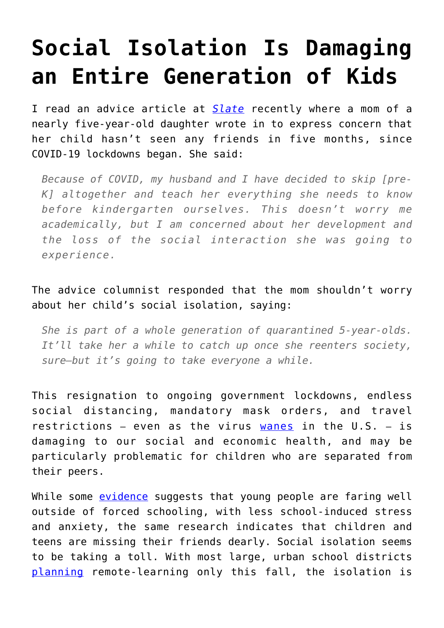## **[Social Isolation Is Damaging](https://intellectualtakeout.org/2020/09/social-isolation-is-damaging-an-entire-generation-of-kids/) [an Entire Generation of Kids](https://intellectualtakeout.org/2020/09/social-isolation-is-damaging-an-entire-generation-of-kids/)**

I read an advice article at *[Slate](https://slate.com/human-interest/2020/08/daughter-sees-no-friends-care-and-feeding.html)* recently where a mom of a nearly five-year-old daughter wrote in to express concern that her child hasn't seen any friends in five months, since COVID-19 lockdowns began. She said:

*Because of COVID, my husband and I have decided to skip [pre-K] altogether and teach her everything she needs to know before kindergarten ourselves. This doesn't worry me academically, but I am concerned about her development and the loss of the social interaction she was going to experience.*

## The advice columnist responded that the mom shouldn't worry about her child's social isolation, saying:

*She is part of a whole generation of quarantined 5-year-olds. It'll take her a while to catch up once she reenters society, sure—but it's going to take everyone a while.*

This resignation to ongoing government lockdowns, endless social distancing, mandatory mask orders, and travel restrictions – even as the virus [wanes](https://www.wsj.com/articles/coronavirus-latest-news-09-07-2020-11599467458?mod=trending_now_pos2) in the U.S. – is damaging to our social and economic health, and may be particularly problematic for children who are separated from their peers.

While some [evidence](https://www.psychologytoday.com/us/blog/freedom-learn/202008/kids-continued-cope-well-two-months-after-schools-closed?utm_source=feedburner&utm_medium=email&utm_campaign=Feed%3A+Freedom-to-Learn+%28Freedom+to+Learn%29) suggests that young people are faring well outside of forced schooling, with less school-induced stress and anxiety, the same research indicates that children and teens are missing their friends dearly. Social isolation seems to be taking a toll. With most large, urban school districts [planning](https://www.usnews.com/news/education-news/articles/2020-08-27/big-city-schools-are-less-likely-to-reopen-for-in-person-instruction) remote-learning only this fall, the isolation is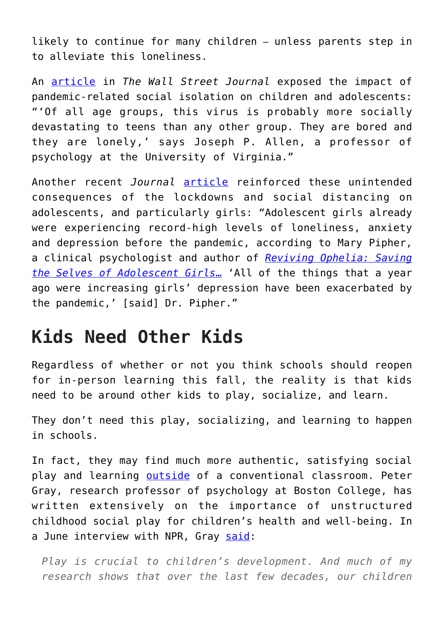likely to continue for many children – unless parents step in to alleviate this loneliness.

An [article](https://www.wsj.com/articles/the-toll-that-isolation-takes-on-kids-during-the-coronavirus-era-11592236617) in *The Wall Street Journal* exposed the impact of pandemic-related social isolation on children and adolescents: "'Of all age groups, this virus is probably more socially devastating to teens than any other group. They are bored and they are lonely,' says Joseph P. Allen, a professor of psychology at the University of Virginia."

Another recent *Journal* [article](https://www.wsj.com/articles/lonely-girls-how-the-pandemic-has-deepened-the-isolation-of-adolescents-11595937600) reinforced these unintended consequences of the lockdowns and social distancing on adolescents, and particularly girls: "Adolescent girls already were experiencing record-high levels of loneliness, anxiety and depression before the pandemic, according to Mary Pipher, a clinical psychologist and author of *[Reviving Ophelia: Saving](https://amzn.to/35mPBrH) [the Selves of Adolescent Girls](https://amzn.to/35mPBrH)*[…](https://amzn.to/35mPBrH) 'All of the things that a year ago were increasing girls' depression have been exacerbated by the pandemic,' [said] Dr. Pipher."

## **Kids Need Other Kids**

Regardless of whether or not you think schools should reopen for in-person learning this fall, the reality is that kids need to be around other kids to play, socialize, and learn.

They don't need this play, socializing, and learning to happen in schools.

In fact, they may find much more authentic, satisfying social play and learning **[outside](https://www.amazon.com/Unschooled-Well-Educated-Children-Conventional-Classroom/dp/1641600632/)** of a conventional classroom. Peter Gray, research professor of psychology at Boston College, has written extensively on the importance of unstructured childhood social play for children's health and well-being. In a June interview with NPR, Gray [said](https://www.wbur.org/radioboston/2020/06/24/children-play-pandemic):

*Play is crucial to children's development. And much of my research shows that over the last few decades, our children*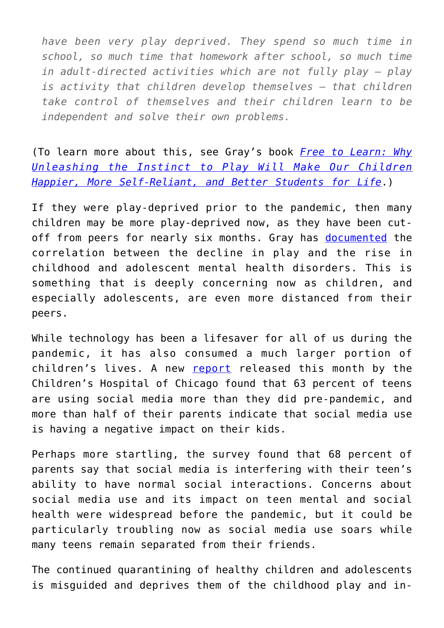*have been very play deprived. They spend so much time in school, so much time that homework after school, so much time in adult-directed activities which are not fully play — play is activity that children develop themselves — that children take control of themselves and their children learn to be independent and solve their own problems.*

(To learn more about this, see Gray's book *[Free to Learn: Why](https://amzn.to/3hbZJWr) [Unleashing the Instinct to Play Will Make Our Children](https://amzn.to/3hbZJWr) [Happier, More Self-Reliant, and Better Students for Life](https://amzn.to/3hbZJWr)*.)

If they were play-deprived prior to the pandemic, then many children may be more play-deprived now, as they have been cutoff from peers for nearly six months. Gray has [documented](https://files.eric.ed.gov/fulltext/EJ985541.pdf) the correlation between the decline in play and the rise in childhood and adolescent mental health disorders. This is something that is deeply concerning now as children, and especially adolescents, are even more distanced from their peers.

While technology has been a lifesaver for all of us during the pandemic, it has also consumed a much larger portion of children's lives. A new [report](https://www.luriechildrens.org/en/blog/social-media-parenting-statistics/) released this month by the Children's Hospital of Chicago found that 63 percent of teens are using social media more than they did pre-pandemic, and more than half of their parents indicate that social media use is having a negative impact on their kids.

Perhaps more startling, the survey found that 68 percent of parents say that social media is interfering with their teen's ability to have normal social interactions. Concerns about social media use and its impact on teen mental and social health were widespread before the pandemic, but it could be particularly troubling now as social media use soars while many teens remain separated from their friends.

The continued quarantining of healthy children and adolescents is misguided and deprives them of the childhood play and in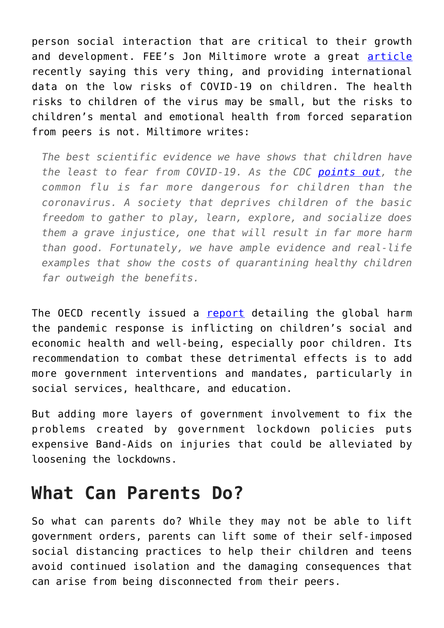person social interaction that are critical to their growth and development. FEE's Jon Miltimore wrote a great [article](https://fee.org/articles/sweden-s-results-suggest-we-should-stop-quarantining-healthy-children/) recently saying this very thing, and providing international data on the low risks of COVID-19 on children. The health risks to children of the virus may be small, but the risks to children's mental and emotional health from forced separation from peers is not. Miltimore writes:

*The best scientific evidence we have shows that children have the least to fear from COVID-19. As the CDC [points out,](https://www.cdc.gov/flu/symptoms/flu-vs-covid19.htm#:~:text=The%20risk%20of%20complications%20for,both%20flu%20and%20COVID%2D19.&text=Young%20children%20are%20at%20higher%20risk%20of%20severe%20illness%20from%20flu.) the common flu is far more dangerous for children than the coronavirus. A society that deprives children of the basic freedom to gather to play, learn, explore, and socialize does them a grave injustice, one that will result in far more harm than good. Fortunately, we have ample evidence and real-life examples that show the costs of quarantining healthy children far outweigh the benefits.*

The OECD recently issued a [report](https://www.oecd.org/coronavirus/policy-responses/combatting-covid-19-s-effect-on-children-2e1f3b2f/) detailing the global harm the pandemic response is inflicting on children's social and economic health and well-being, especially poor children. Its recommendation to combat these detrimental effects is to add more government interventions and mandates, particularly in social services, healthcare, and education.

But adding more layers of government involvement to fix the problems created by government lockdown policies puts expensive Band-Aids on injuries that could be alleviated by loosening the lockdowns.

## **What Can Parents Do?**

So what can parents do? While they may not be able to lift government orders, parents can lift some of their self-imposed social distancing practices to help their children and teens avoid continued isolation and the damaging consequences that can arise from being disconnected from their peers.